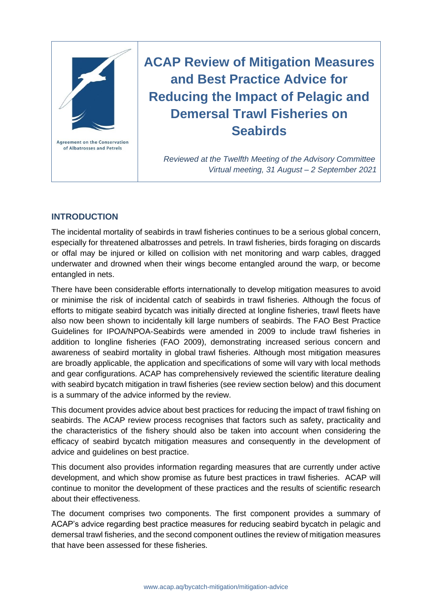

# **ACAP Review of Mitigation Measures and Best Practice Advice for Reducing the Impact of Pelagic and Demersal Trawl Fisheries on Seabirds**

*Reviewed at the Twelfth Meeting of the Advisory Committee Virtual meeting, 31 August – 2 September 2021*

# **INTRODUCTION**

The incidental mortality of seabirds in trawl fisheries continues to be a serious global concern, especially for threatened albatrosses and petrels. In trawl fisheries, birds foraging on discards or offal may be injured or killed on collision with net monitoring and warp cables, dragged underwater and drowned when their wings become entangled around the warp, or become entangled in nets.

There have been considerable efforts internationally to develop mitigation measures to avoid or minimise the risk of incidental catch of seabirds in trawl fisheries. Although the focus of efforts to mitigate seabird bycatch was initially directed at longline fisheries, trawl fleets have also now been shown to incidentally kill large numbers of seabirds. The FAO Best Practice Guidelines for IPOA/NPOA-Seabirds were amended in 2009 to include trawl fisheries in addition to longline fisheries (FAO 2009), demonstrating increased serious concern and awareness of seabird mortality in global trawl fisheries. Although most mitigation measures are broadly applicable, the application and specifications of some will vary with local methods and gear configurations. ACAP has comprehensively reviewed the scientific literature dealing with seabird bycatch mitigation in trawl fisheries (see review section below) and this document is a summary of the advice informed by the review.

This document provides advice about best practices for reducing the impact of trawl fishing on seabirds. The ACAP review process recognises that factors such as safety, practicality and the characteristics of the fishery should also be taken into account when considering the efficacy of seabird bycatch mitigation measures and consequently in the development of advice and guidelines on best practice.

This document also provides information regarding measures that are currently under active development, and which show promise as future best practices in trawl fisheries. ACAP will continue to monitor the development of these practices and the results of scientific research about their effectiveness.

The document comprises two components. The first component provides a summary of ACAP's advice regarding best practice measures for reducing seabird bycatch in pelagic and demersal trawl fisheries, and the second component outlines the review of mitigation measures that have been assessed for these fisheries.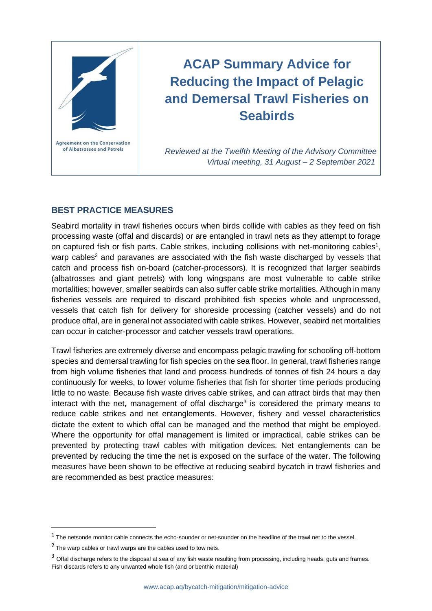

# **ACAP Summary Advice for Reducing the Impact of Pelagic and Demersal Trawl Fisheries on Seabirds**

*Reviewed at the Twelfth Meeting of the Advisory Committee Virtual meeting, 31 August – 2 September 2021*

# **BEST PRACTICE MEASURES**

Seabird mortality in trawl fisheries occurs when birds collide with cables as they feed on fish processing waste (offal and discards) or are entangled in trawl nets as they attempt to forage on captured fish or fish parts. Cable strikes, including collisions with net-monitoring cables<sup>1</sup>, warp cables<sup>2</sup> and paravanes are associated with the fish waste discharged by vessels that catch and process fish on-board (catcher-processors). It is recognized that larger seabirds (albatrosses and giant petrels) with long wingspans are most vulnerable to cable strike mortalities; however, smaller seabirds can also suffer cable strike mortalities. Although in many fisheries vessels are required to discard prohibited fish species whole and unprocessed, vessels that catch fish for delivery for shoreside processing (catcher vessels) and do not produce offal, are in general not associated with cable strikes. However, seabird net mortalities can occur in catcher-processor and catcher vessels trawl operations.

Trawl fisheries are extremely diverse and encompass pelagic trawling for schooling off-bottom species and demersal trawling for fish species on the sea floor. In general, trawl fisheries range from high volume fisheries that land and process hundreds of tonnes of fish 24 hours a day continuously for weeks, to lower volume fisheries that fish for shorter time periods producing little to no waste. Because fish waste drives cable strikes, and can attract birds that may then interact with the net, management of offal discharge<sup>3</sup> is considered the primary means to reduce cable strikes and net entanglements. However, fishery and vessel characteristics dictate the extent to which offal can be managed and the method that might be employed. Where the opportunity for offal management is limited or impractical, cable strikes can be prevented by protecting trawl cables with mitigation devices. Net entanglements can be prevented by reducing the time the net is exposed on the surface of the water. The following measures have been shown to be effective at reducing seabird bycatch in trawl fisheries and are recommended as best practice measures:

 $<sup>1</sup>$  The netsonde monitor cable connects the echo-sounder or net-sounder on the headline of the trawl net to the vessel.</sup>

 $2$  The warp cables or trawl warps are the cables used to tow nets.

<sup>&</sup>lt;sup>3</sup> Offal discharge refers to the disposal at sea of any fish waste resulting from processing, including heads, guts and frames. Fish discards refers to any unwanted whole fish (and or benthic material)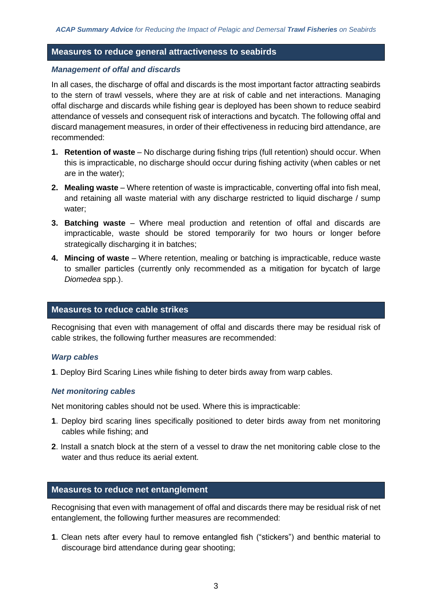## **Measures to reduce general attractiveness to seabirds**

#### *Management of offal and discards*

In all cases, the discharge of offal and discards is the most important factor attracting seabirds to the stern of trawl vessels, where they are at risk of cable and net interactions. Managing offal discharge and discards while fishing gear is deployed has been shown to reduce seabird attendance of vessels and consequent risk of interactions and bycatch. The following offal and discard management measures, in order of their effectiveness in reducing bird attendance, are recommended:

- **1. Retention of waste** No discharge during fishing trips (full retention) should occur. When this is impracticable, no discharge should occur during fishing activity (when cables or net are in the water);
- **2. Mealing waste** Where retention of waste is impracticable, converting offal into fish meal, and retaining all waste material with any discharge restricted to liquid discharge / sump water;
- **3. Batching waste** Where meal production and retention of offal and discards are impracticable, waste should be stored temporarily for two hours or longer before strategically discharging it in batches;
- **4. Mincing of waste** Where retention, mealing or batching is impracticable, reduce waste to smaller particles (currently only recommended as a mitigation for bycatch of large *Diomedea* spp.).

#### **Measures to reduce cable strikes**

Recognising that even with management of offal and discards there may be residual risk of cable strikes, the following further measures are recommended:

#### *Warp cables*

**1**. Deploy Bird Scaring Lines while fishing to deter birds away from warp cables.

## *Net monitoring cables*

Net monitoring cables should not be used. Where this is impracticable:

- **1**. Deploy bird scaring lines specifically positioned to deter birds away from net monitoring cables while fishing; and
- **2**. Install a snatch block at the stern of a vessel to draw the net monitoring cable close to the water and thus reduce its aerial extent.

# **Measures to reduce net entanglement**

Recognising that even with management of offal and discards there may be residual risk of net entanglement, the following further measures are recommended:

**1**. Clean nets after every haul to remove entangled fish ("stickers") and benthic material to discourage bird attendance during gear shooting;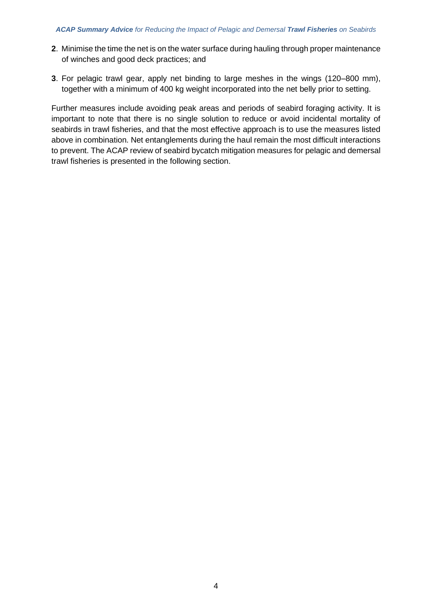- **2**. Minimise the time the net is on the water surface during hauling through proper maintenance of winches and good deck practices; and
- **3**. For pelagic trawl gear, apply net binding to large meshes in the wings (120–800 mm), together with a minimum of 400 kg weight incorporated into the net belly prior to setting.

Further measures include avoiding peak areas and periods of seabird foraging activity. It is important to note that there is no single solution to reduce or avoid incidental mortality of seabirds in trawl fisheries, and that the most effective approach is to use the measures listed above in combination. Net entanglements during the haul remain the most difficult interactions to prevent. The ACAP review of seabird bycatch mitigation measures for pelagic and demersal trawl fisheries is presented in the following section.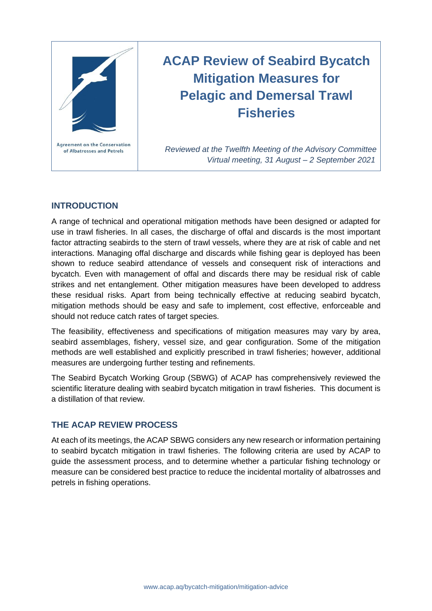

# **ACAP Review of Seabird Bycatch Mitigation Measures for Pelagic and Demersal Trawl Fisheries**

*Reviewed at the Twelfth Meeting of the Advisory Committee Virtual meeting, 31 August – 2 September 2021*

# **INTRODUCTION**

A range of technical and operational mitigation methods have been designed or adapted for use in trawl fisheries. In all cases, the discharge of offal and discards is the most important factor attracting seabirds to the stern of trawl vessels, where they are at risk of cable and net interactions. Managing offal discharge and discards while fishing gear is deployed has been shown to reduce seabird attendance of vessels and consequent risk of interactions and bycatch. Even with management of offal and discards there may be residual risk of cable strikes and net entanglement. Other mitigation measures have been developed to address these residual risks. Apart from being technically effective at reducing seabird bycatch, mitigation methods should be easy and safe to implement, cost effective, enforceable and should not reduce catch rates of target species.

The feasibility, effectiveness and specifications of mitigation measures may vary by area, seabird assemblages, fishery, vessel size, and gear configuration. Some of the mitigation methods are well established and explicitly prescribed in trawl fisheries; however, additional measures are undergoing further testing and refinements.

The Seabird Bycatch Working Group (SBWG) of ACAP has comprehensively reviewed the scientific literature dealing with seabird bycatch mitigation in trawl fisheries. This document is a distillation of that review.

# **THE ACAP REVIEW PROCESS**

At each of its meetings, the ACAP SBWG considers any new research or information pertaining to seabird bycatch mitigation in trawl fisheries. The following criteria are used by ACAP to guide the assessment process, and to determine whether a particular fishing technology or measure can be considered best practice to reduce the incidental mortality of albatrosses and petrels in fishing operations.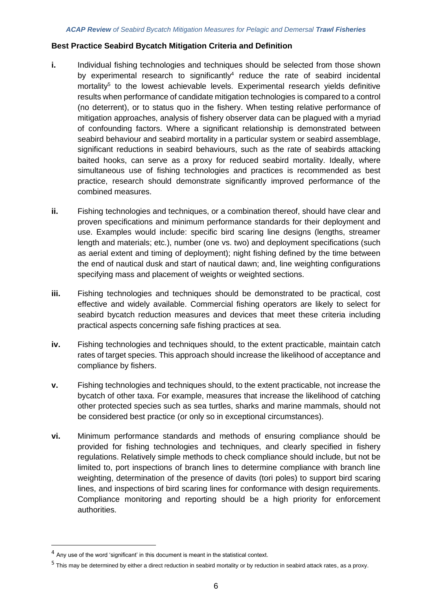#### **Best Practice Seabird Bycatch Mitigation Criteria and Definition**

- **i.** Individual fishing technologies and techniques should be selected from those shown by experimental research to significantly<sup>4</sup> reduce the rate of seabird incidental mortality<sup>5</sup> to the lowest achievable levels. Experimental research yields definitive results when performance of candidate mitigation technologies is compared to a control (no deterrent), or to status quo in the fishery. When testing relative performance of mitigation approaches, analysis of fishery observer data can be plagued with a myriad of confounding factors. Where a significant relationship is demonstrated between seabird behaviour and seabird mortality in a particular system or seabird assemblage, significant reductions in seabird behaviours, such as the rate of seabirds attacking baited hooks, can serve as a proxy for reduced seabird mortality. Ideally, where simultaneous use of fishing technologies and practices is recommended as best practice, research should demonstrate significantly improved performance of the combined measures.
- **ii.** Fishing technologies and techniques, or a combination thereof, should have clear and proven specifications and minimum performance standards for their deployment and use. Examples would include: specific bird scaring line designs (lengths, streamer length and materials; etc.), number (one vs. two) and deployment specifications (such as aerial extent and timing of deployment); night fishing defined by the time between the end of nautical dusk and start of nautical dawn; and, line weighting configurations specifying mass and placement of weights or weighted sections.
- **iii.** Fishing technologies and techniques should be demonstrated to be practical, cost effective and widely available. Commercial fishing operators are likely to select for seabird bycatch reduction measures and devices that meet these criteria including practical aspects concerning safe fishing practices at sea.
- **iv.** Fishing technologies and techniques should, to the extent practicable, maintain catch rates of target species. This approach should increase the likelihood of acceptance and compliance by fishers.
- **v.** Fishing technologies and techniques should, to the extent practicable, not increase the bycatch of other taxa. For example, measures that increase the likelihood of catching other protected species such as sea turtles, sharks and marine mammals, should not be considered best practice (or only so in exceptional circumstances).
- **vi.** Minimum performance standards and methods of ensuring compliance should be provided for fishing technologies and techniques, and clearly specified in fishery regulations. Relatively simple methods to check compliance should include, but not be limited to, port inspections of branch lines to determine compliance with branch line weighting, determination of the presence of davits (tori poles) to support bird scaring lines, and inspections of bird scaring lines for conformance with design requirements. Compliance monitoring and reporting should be a high priority for enforcement authorities.

<sup>4</sup> Any use of the word 'significant' in this document is meant in the statistical context.

<sup>&</sup>lt;sup>5</sup> This may be determined by either a direct reduction in seabird mortality or by reduction in seabird attack rates, as a proxy.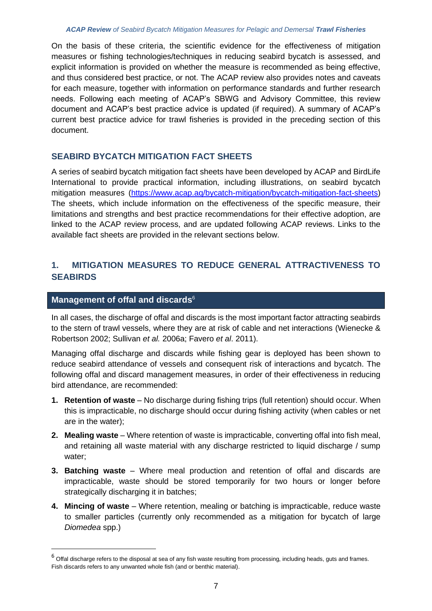On the basis of these criteria, the scientific evidence for the effectiveness of mitigation measures or fishing technologies/techniques in reducing seabird bycatch is assessed, and explicit information is provided on whether the measure is recommended as being effective, and thus considered best practice, or not. The ACAP review also provides notes and caveats for each measure, together with information on performance standards and further research needs. Following each meeting of ACAP's SBWG and Advisory Committee, this review document and ACAP's best practice advice is updated (if required). A summary of ACAP's current best practice advice for trawl fisheries is provided in the preceding section of this document.

## **SEABIRD BYCATCH MITIGATION FACT SHEETS**

A series of seabird bycatch mitigation fact sheets have been developed by ACAP and BirdLife International to provide practical information, including illustrations, on seabird bycatch mitigation measures [\(https://www.acap.aq/bycatch-mitigation/bycatch-mitigation-fact-sheets\)](https://www.acap.aq/bycatch-mitigation/bycatch-mitigation-fact-sheets) The sheets, which include information on the effectiveness of the specific measure, their limitations and strengths and best practice recommendations for their effective adoption, are linked to the ACAP review process, and are updated following ACAP reviews. Links to the available fact sheets are provided in the relevant sections below.

# **1. MITIGATION MEASURES TO REDUCE GENERAL ATTRACTIVENESS TO SEABIRDS**

## **Management of offal and discards**<sup>6</sup>

In all cases, the discharge of offal and discards is the most important factor attracting seabirds to the stern of trawl vessels, where they are at risk of cable and net interactions (Wienecke & Robertson 2002; Sullivan *et al.* 2006a; Favero *et al*. 2011).

Managing offal discharge and discards while fishing gear is deployed has been shown to reduce seabird attendance of vessels and consequent risk of interactions and bycatch. The following offal and discard management measures, in order of their effectiveness in reducing bird attendance, are recommended:

- **1. Retention of waste** No discharge during fishing trips (full retention) should occur. When this is impracticable, no discharge should occur during fishing activity (when cables or net are in the water);
- **2. Mealing waste** Where retention of waste is impracticable, converting offal into fish meal, and retaining all waste material with any discharge restricted to liquid discharge / sump water;
- **3. Batching waste** Where meal production and retention of offal and discards are impracticable, waste should be stored temporarily for two hours or longer before strategically discharging it in batches;
- **4. Mincing of waste** Where retention, mealing or batching is impracticable, reduce waste to smaller particles (currently only recommended as a mitigation for bycatch of large *Diomedea* spp.)

 $6$  Offal discharge refers to the disposal at sea of any fish waste resulting from processing, including heads, guts and frames. Fish discards refers to any unwanted whole fish (and or benthic material).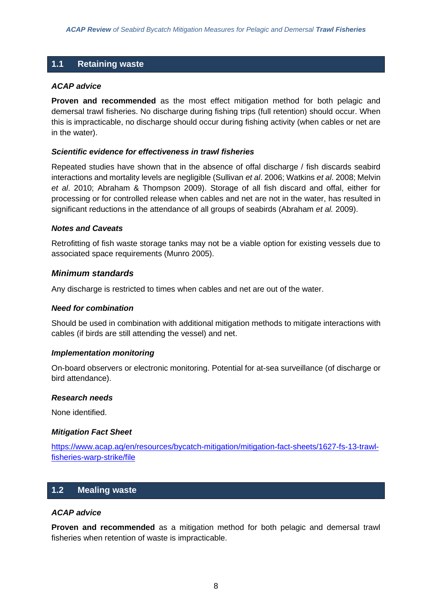# **1.1 Retaining waste**

#### *ACAP advice*

**Proven and recommended** as the most effect mitigation method for both pelagic and demersal trawl fisheries. No discharge during fishing trips (full retention) should occur. When this is impracticable, no discharge should occur during fishing activity (when cables or net are in the water).

#### *Scientific evidence for effectiveness in trawl fisheries*

Repeated studies have shown that in the absence of offal discharge / fish discards seabird interactions and mortality levels are negligible (Sullivan *et al*. 2006; Watkins *et al*. 2008; Melvin *et al*. 2010; Abraham & Thompson 2009). Storage of all fish discard and offal, either for processing or for controlled release when cables and net are not in the water, has resulted in significant reductions in the attendance of all groups of seabirds (Abraham *et al.* 2009).

#### *Notes and Caveats*

Retrofitting of fish waste storage tanks may not be a viable option for existing vessels due to associated space requirements (Munro 2005).

## *Minimum standards*

Any discharge is restricted to times when cables and net are out of the water.

#### *Need for combination*

Should be used in combination with additional mitigation methods to mitigate interactions with cables (if birds are still attending the vessel) and net.

#### *Implementation monitoring*

On-board observers or electronic monitoring. Potential for at-sea surveillance (of discharge or bird attendance).

#### *Research needs*

None identified.

#### *Mitigation Fact Sheet*

[https://www.acap.aq/en/resources/bycatch-mitigation/mitigation-fact-sheets/1627-fs-13-trawl](https://www.acap.aq/en/resources/bycatch-mitigation/mitigation-fact-sheets/1627-fs-13-trawl-fisheries-warp-strike/file)[fisheries-warp-strike/file](https://www.acap.aq/en/resources/bycatch-mitigation/mitigation-fact-sheets/1627-fs-13-trawl-fisheries-warp-strike/file)

## **1.2 Mealing waste**

#### *ACAP advice*

**Proven and recommended** as a mitigation method for both pelagic and demersal trawl fisheries when retention of waste is impracticable.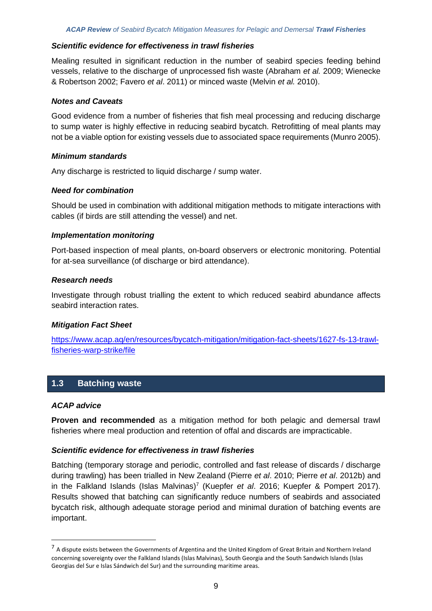#### *Scientific evidence for effectiveness in trawl fisheries*

Mealing resulted in significant reduction in the number of seabird species feeding behind vessels, relative to the discharge of unprocessed fish waste (Abraham *et al.* 2009; Wienecke & Robertson 2002; Favero *et al*. 2011) or minced waste (Melvin *et al.* 2010).

#### *Notes and Caveats*

Good evidence from a number of fisheries that fish meal processing and reducing discharge to sump water is highly effective in reducing seabird bycatch. Retrofitting of meal plants may not be a viable option for existing vessels due to associated space requirements (Munro 2005).

#### *Minimum standards*

Any discharge is restricted to liquid discharge / sump water.

#### *Need for combination*

Should be used in combination with additional mitigation methods to mitigate interactions with cables (if birds are still attending the vessel) and net.

#### *Implementation monitoring*

Port-based inspection of meal plants, on-board observers or electronic monitoring. Potential for at-sea surveillance (of discharge or bird attendance).

#### *Research needs*

Investigate through robust trialling the extent to which reduced seabird abundance affects seabird interaction rates.

## *Mitigation Fact Sheet*

[https://www.acap.aq/en/resources/bycatch-mitigation/mitigation-fact-sheets/1627-fs-13-trawl](https://www.acap.aq/en/resources/bycatch-mitigation/mitigation-fact-sheets/1627-fs-13-trawl-fisheries-warp-strike/file)[fisheries-warp-strike/file](https://www.acap.aq/en/resources/bycatch-mitigation/mitigation-fact-sheets/1627-fs-13-trawl-fisheries-warp-strike/file)

# **1.3 Batching waste**

#### *ACAP advice*

**Proven and recommended** as a mitigation method for both pelagic and demersal trawl fisheries where meal production and retention of offal and discards are impracticable.

## *Scientific evidence for effectiveness in trawl fisheries*

Batching (temporary storage and periodic, controlled and fast release of discards / discharge during trawling) has been trialled in New Zealand (Pierre *et al*. 2010; Pierre *et al*. 2012b) and in the Falkland Islands (Islas Malvinas)<sup>7</sup> (Kuepfer et al. 2016; Kuepfer & Pompert 2017). Results showed that batching can significantly reduce numbers of seabirds and associated bycatch risk, although adequate storage period and minimal duration of batching events are important.

<sup>&</sup>lt;sup>7</sup> A dispute exists between the Governments of Argentina and the United Kingdom of Great Britain and Northern Ireland concerning sovereignty over the Falkland Islands (Islas Malvinas), South Georgia and the South Sandwich Islands (Islas Georgias del Sur e Islas Sándwich del Sur) and the surrounding maritime areas.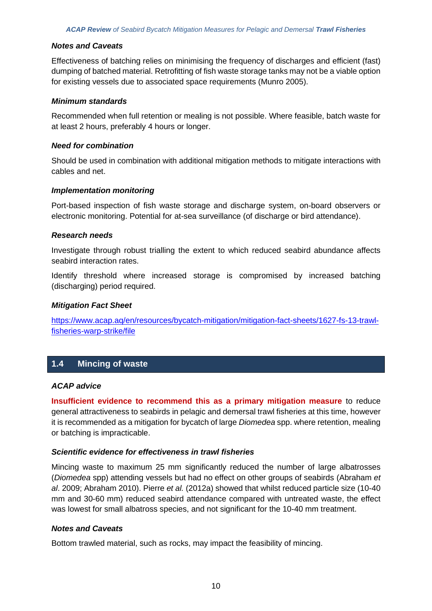#### *Notes and Caveats*

Effectiveness of batching relies on minimising the frequency of discharges and efficient (fast) dumping of batched material. Retrofitting of fish waste storage tanks may not be a viable option for existing vessels due to associated space requirements (Munro 2005).

#### *Minimum standards*

Recommended when full retention or mealing is not possible. Where feasible, batch waste for at least 2 hours, preferably 4 hours or longer.

#### *Need for combination*

Should be used in combination with additional mitigation methods to mitigate interactions with cables and net.

#### *Implementation monitoring*

Port-based inspection of fish waste storage and discharge system, on-board observers or electronic monitoring. Potential for at-sea surveillance (of discharge or bird attendance).

#### *Research needs*

Investigate through robust trialling the extent to which reduced seabird abundance affects seabird interaction rates.

Identify threshold where increased storage is compromised by increased batching (discharging) period required.

#### *Mitigation Fact Sheet*

[https://www.acap.aq/en/resources/bycatch-mitigation/mitigation-fact-sheets/1627-fs-13-trawl](https://www.acap.aq/en/resources/bycatch-mitigation/mitigation-fact-sheets/1627-fs-13-trawl-fisheries-warp-strike/file)[fisheries-warp-strike/file](https://www.acap.aq/en/resources/bycatch-mitigation/mitigation-fact-sheets/1627-fs-13-trawl-fisheries-warp-strike/file)

# **1.4 Mincing of waste**

#### *ACAP advice*

**Insufficient evidence to recommend this as a primary mitigation measure** to reduce general attractiveness to seabirds in pelagic and demersal trawl fisheries at this time, however it is recommended as a mitigation for bycatch of large *Diomedea* spp. where retention, mealing or batching is impracticable.

## *Scientific evidence for effectiveness in trawl fisheries*

Mincing waste to maximum 25 mm significantly reduced the number of large albatrosses (*Diomedea* spp) attending vessels but had no effect on other groups of seabirds (Abraham *et al*. 2009; Abraham 2010). Pierre *et al.* (2012a) showed that whilst reduced particle size (10-40 mm and 30-60 mm) reduced seabird attendance compared with untreated waste, the effect was lowest for small albatross species, and not significant for the 10-40 mm treatment.

#### *Notes and Caveats*

Bottom trawled material, such as rocks, may impact the feasibility of mincing.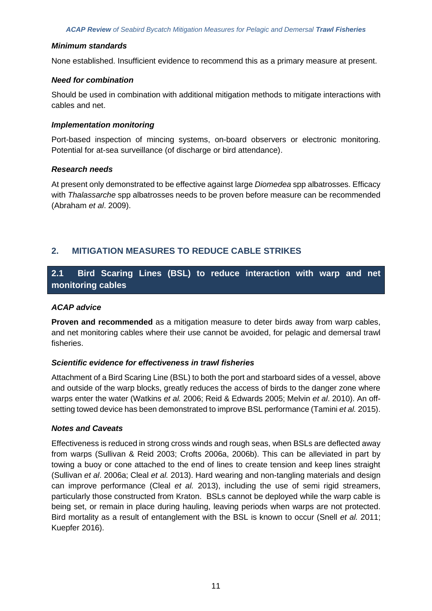None established. Insufficient evidence to recommend this as a primary measure at present.

#### *Need for combination*

Should be used in combination with additional mitigation methods to mitigate interactions with cables and net.

#### *Implementation monitoring*

Port-based inspection of mincing systems, on-board observers or electronic monitoring. Potential for at-sea surveillance (of discharge or bird attendance).

## *Research needs*

At present only demonstrated to be effective against large *Diomedea* spp albatrosses. Efficacy with *Thalassarche* spp albatrosses needs to be proven before measure can be recommended (Abraham *et al*. 2009).

# **2. MITIGATION MEASURES TO REDUCE CABLE STRIKES**

# **2.1 Bird Scaring Lines (BSL) to reduce interaction with warp and net monitoring cables**

## *ACAP advice*

**Proven and recommended** as a mitigation measure to deter birds away from warp cables, and net monitoring cables where their use cannot be avoided, for pelagic and demersal trawl fisheries.

## *Scientific evidence for effectiveness in trawl fisheries*

Attachment of a Bird Scaring Line (BSL) to both the port and starboard sides of a vessel, above and outside of the warp blocks, greatly reduces the access of birds to the danger zone where warps enter the water (Watkins *et al.* 2006; Reid & Edwards 2005; Melvin *et al*. 2010). An offsetting towed device has been demonstrated to improve BSL performance (Tamini *et al.* 2015).

## *Notes and Caveats*

Effectiveness is reduced in strong cross winds and rough seas, when BSLs are deflected away from warps (Sullivan & Reid 2003; Crofts 2006a, 2006b). This can be alleviated in part by towing a buoy or cone attached to the end of lines to create tension and keep lines straight (Sullivan *et al*. 2006a; Cleal *et al.* 2013). Hard wearing and non-tangling materials and design can improve performance (Cleal *et al.* 2013), including the use of semi rigid streamers, particularly those constructed from Kraton. BSLs cannot be deployed while the warp cable is being set, or remain in place during hauling, leaving periods when warps are not protected. Bird mortality as a result of entanglement with the BSL is known to occur (Snell *et al.* 2011; Kuepfer 2016).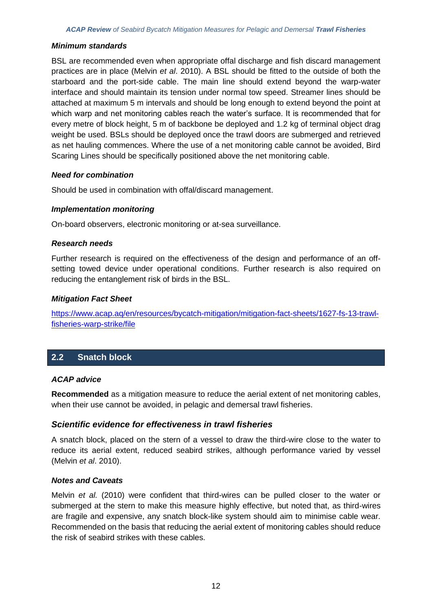BSL are recommended even when appropriate offal discharge and fish discard management practices are in place (Melvin *et al*. 2010). A BSL should be fitted to the outside of both the starboard and the port-side cable. The main line should extend beyond the warp-water interface and should maintain its tension under normal tow speed. Streamer lines should be attached at maximum 5 m intervals and should be long enough to extend beyond the point at which warp and net monitoring cables reach the water's surface. It is recommended that for every metre of block height, 5 m of backbone be deployed and 1.2 kg of terminal object drag weight be used. BSLs should be deployed once the trawl doors are submerged and retrieved as net hauling commences. Where the use of a net monitoring cable cannot be avoided, Bird Scaring Lines should be specifically positioned above the net monitoring cable.

#### *Need for combination*

Should be used in combination with offal/discard management.

#### *Implementation monitoring*

On-board observers, electronic monitoring or at-sea surveillance.

#### *Research needs*

Further research is required on the effectiveness of the design and performance of an offsetting towed device under operational conditions. Further research is also required on reducing the entanglement risk of birds in the BSL.

#### *Mitigation Fact Sheet*

[https://www.acap.aq/en/resources/bycatch-mitigation/mitigation-fact-sheets/1627-fs-13-trawl](https://www.acap.aq/en/resources/bycatch-mitigation/mitigation-fact-sheets/1627-fs-13-trawl-fisheries-warp-strike/file)[fisheries-warp-strike/file](https://www.acap.aq/en/resources/bycatch-mitigation/mitigation-fact-sheets/1627-fs-13-trawl-fisheries-warp-strike/file)

# **2.2 Snatch block**

## *ACAP advice*

**Recommended** as a mitigation measure to reduce the aerial extent of net monitoring cables, when their use cannot be avoided, in pelagic and demersal trawl fisheries.

## *Scientific evidence for effectiveness in trawl fisheries*

A snatch block, placed on the stern of a vessel to draw the third-wire close to the water to reduce its aerial extent, reduced seabird strikes, although performance varied by vessel (Melvin *et al*. 2010).

#### *Notes and Caveats*

Melvin *et al.* (2010) were confident that third-wires can be pulled closer to the water or submerged at the stern to make this measure highly effective, but noted that, as third-wires are fragile and expensive, any snatch block-like system should aim to minimise cable wear. Recommended on the basis that reducing the aerial extent of monitoring cables should reduce the risk of seabird strikes with these cables.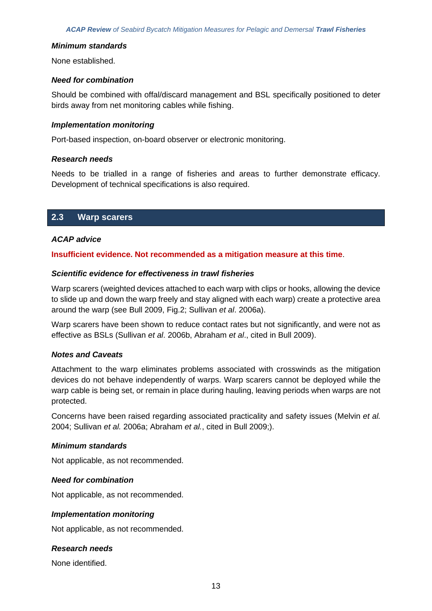None established.

#### *Need for combination*

Should be combined with offal/discard management and BSL specifically positioned to deter birds away from net monitoring cables while fishing.

#### *Implementation monitoring*

Port-based inspection, on-board observer or electronic monitoring.

#### *Research needs*

Needs to be trialled in a range of fisheries and areas to further demonstrate efficacy. Development of technical specifications is also required.

## **2.3 Warp scarers**

#### *ACAP advice*

#### **Insufficient evidence. Not recommended as a mitigation measure at this time**.

#### *Scientific evidence for effectiveness in trawl fisheries*

Warp scarers (weighted devices attached to each warp with clips or hooks, allowing the device to slide up and down the warp freely and stay aligned with each warp) create a protective area around the warp (see Bull 2009, Fig.2; Sullivan *et al*. 2006a).

Warp scarers have been shown to reduce contact rates but not significantly, and were not as effective as BSLs (Sullivan *et al*. 2006b, Abraham *et al*., cited in Bull 2009).

#### *Notes and Caveats*

Attachment to the warp eliminates problems associated with crosswinds as the mitigation devices do not behave independently of warps. Warp scarers cannot be deployed while the warp cable is being set, or remain in place during hauling, leaving periods when warps are not protected.

Concerns have been raised regarding associated practicality and safety issues (Melvin *et al.* 2004; Sullivan *et al.* 2006a; Abraham *et al.*, cited in Bull 2009;).

#### *Minimum standards*

Not applicable, as not recommended.

#### *Need for combination*

Not applicable, as not recommended.

#### *Implementation monitoring*

Not applicable, as not recommended.

## *Research needs*

None identified.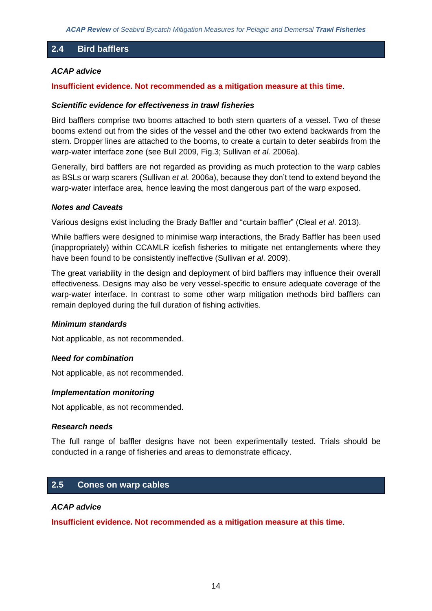## **2.4 Bird bafflers**

## *ACAP advice*

#### **Insufficient evidence. Not recommended as a mitigation measure at this time**.

#### *Scientific evidence for effectiveness in trawl fisheries*

Bird bafflers comprise two booms attached to both stern quarters of a vessel. Two of these booms extend out from the sides of the vessel and the other two extend backwards from the stern. Dropper lines are attached to the booms, to create a curtain to deter seabirds from the warp-water interface zone (see Bull 2009, Fig.3; Sullivan *et al.* 2006a).

Generally, bird bafflers are not regarded as providing as much protection to the warp cables as BSLs or warp scarers (Sullivan *et al.* 2006a), because they don't tend to extend beyond the warp-water interface area, hence leaving the most dangerous part of the warp exposed.

#### *Notes and Caveats*

Various designs exist including the Brady Baffler and "curtain baffler" (Cleal *et al*. 2013).

While bafflers were designed to minimise warp interactions, the Brady Baffler has been used (inappropriately) within CCAMLR icefish fisheries to mitigate net entanglements where they have been found to be consistently ineffective (Sullivan *et al*. 2009).

The great variability in the design and deployment of bird bafflers may influence their overall effectiveness. Designs may also be very vessel-specific to ensure adequate coverage of the warp-water interface. In contrast to some other warp mitigation methods bird bafflers can remain deployed during the full duration of fishing activities.

#### *Minimum standards*

Not applicable, as not recommended.

#### *Need for combination*

Not applicable, as not recommended.

#### *Implementation monitoring*

Not applicable, as not recommended.

#### *Research needs*

The full range of baffler designs have not been experimentally tested. Trials should be conducted in a range of fisheries and areas to demonstrate efficacy.

# **2.5 Cones on warp cables**

#### *ACAP advice*

**Insufficient evidence. Not recommended as a mitigation measure at this time**.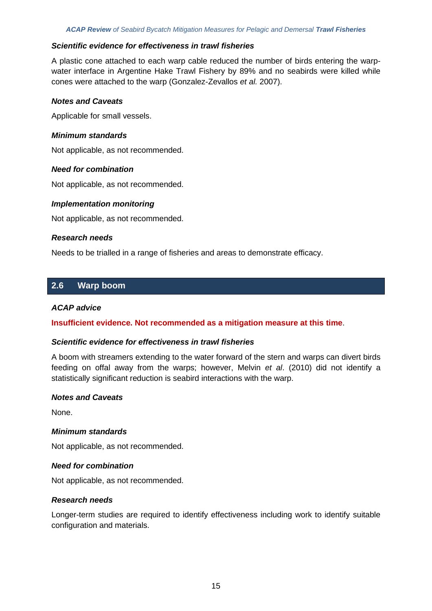#### *Scientific evidence for effectiveness in trawl fisheries*

A plastic cone attached to each warp cable reduced the number of birds entering the warpwater interface in Argentine Hake Trawl Fishery by 89% and no seabirds were killed while cones were attached to the warp (Gonzalez-Zevallos *et al.* 2007).

#### *Notes and Caveats*

Applicable for small vessels.

#### *Minimum standards*

Not applicable, as not recommended.

#### *Need for combination*

Not applicable, as not recommended.

#### *Implementation monitoring*

Not applicable, as not recommended.

#### *Research needs*

Needs to be trialled in a range of fisheries and areas to demonstrate efficacy.

## **2.6 Warp boom**

#### *ACAP advice*

**Insufficient evidence. Not recommended as a mitigation measure at this time**.

#### *Scientific evidence for effectiveness in trawl fisheries*

A boom with streamers extending to the water forward of the stern and warps can divert birds feeding on offal away from the warps; however, Melvin *et al*. (2010) did not identify a statistically significant reduction is seabird interactions with the warp.

#### *Notes and Caveats*

None.

## *Minimum standards*

Not applicable, as not recommended.

#### *Need for combination*

Not applicable, as not recommended.

#### *Research needs*

Longer-term studies are required to identify effectiveness including work to identify suitable configuration and materials.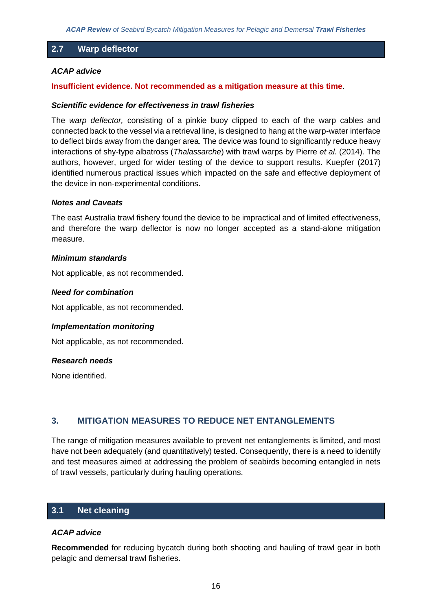## **2.7 Warp deflector**

#### *ACAP advice*

#### **Insufficient evidence. Not recommended as a mitigation measure at this time**.

#### *Scientific evidence for effectiveness in trawl fisheries*

The *warp deflector,* consisting of a pinkie buoy clipped to each of the warp cables and connected back to the vessel via a retrieval line, is designed to hang at the warp-water interface to deflect birds away from the danger area. The device was found to significantly reduce heavy interactions of shy-type albatross (*Thalassarche*) with trawl warps by Pierre *et al.* (2014). The authors, however, urged for wider testing of the device to support results. Kuepfer (2017) identified numerous practical issues which impacted on the safe and effective deployment of the device in non-experimental conditions.

#### *Notes and Caveats*

The east Australia trawl fishery found the device to be impractical and of limited effectiveness, and therefore the warp deflector is now no longer accepted as a stand-alone mitigation measure.

#### *Minimum standards*

Not applicable, as not recommended.

#### *Need for combination*

Not applicable, as not recommended.

#### *Implementation monitoring*

Not applicable, as not recommended.

#### *Research needs*

None identified.

## **3. MITIGATION MEASURES TO REDUCE NET ENTANGLEMENTS**

The range of mitigation measures available to prevent net entanglements is limited, and most have not been adequately (and quantitatively) tested. Consequently, there is a need to identify and test measures aimed at addressing the problem of seabirds becoming entangled in nets of trawl vessels, particularly during hauling operations.

## **3.1 Net cleaning**

#### *ACAP advice*

**Recommended** for reducing bycatch during both shooting and hauling of trawl gear in both pelagic and demersal trawl fisheries.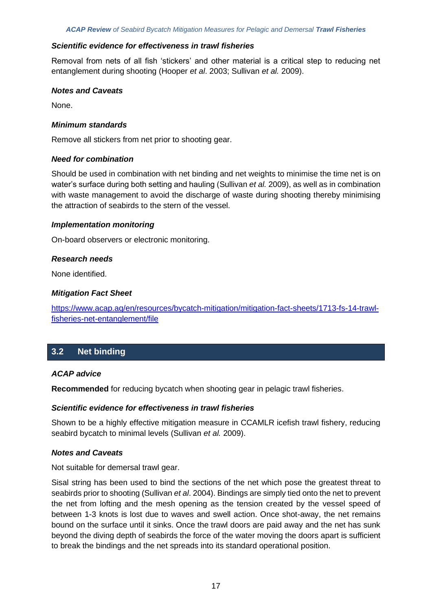#### *Scientific evidence for effectiveness in trawl fisheries*

Removal from nets of all fish 'stickers' and other material is a critical step to reducing net entanglement during shooting (Hooper *et al*. 2003; Sullivan *et al.* 2009).

#### *Notes and Caveats*

None.

#### *Minimum standards*

Remove all stickers from net prior to shooting gear.

#### *Need for combination*

Should be used in combination with net binding and net weights to minimise the time net is on water's surface during both setting and hauling (Sullivan *et al.* 2009), as well as in combination with waste management to avoid the discharge of waste during shooting thereby minimising the attraction of seabirds to the stern of the vessel.

#### *Implementation monitoring*

On-board observers or electronic monitoring.

#### *Research needs*

None identified.

#### *Mitigation Fact Sheet*

[https://www.acap.aq/en/resources/bycatch-mitigation/mitigation-fact-sheets/1713-fs-14-trawl](https://www.acap.aq/en/resources/bycatch-mitigation/mitigation-fact-sheets/1713-fs-14-trawl-fisheries-net-entanglement/file)[fisheries-net-entanglement/file](https://www.acap.aq/en/resources/bycatch-mitigation/mitigation-fact-sheets/1713-fs-14-trawl-fisheries-net-entanglement/file)

# **3.2 Net binding**

## *ACAP advice*

**Recommended** for reducing bycatch when shooting gear in pelagic trawl fisheries.

#### *Scientific evidence for effectiveness in trawl fisheries*

Shown to be a highly effective mitigation measure in CCAMLR icefish trawl fishery, reducing seabird bycatch to minimal levels (Sullivan *et al.* 2009).

## *Notes and Caveats*

Not suitable for demersal trawl gear.

Sisal string has been used to bind the sections of the net which pose the greatest threat to seabirds prior to shooting (Sullivan *et al*. 2004). Bindings are simply tied onto the net to prevent the net from lofting and the mesh opening as the tension created by the vessel speed of between 1-3 knots is lost due to waves and swell action. Once shot-away, the net remains bound on the surface until it sinks. Once the trawl doors are paid away and the net has sunk beyond the diving depth of seabirds the force of the water moving the doors apart is sufficient to break the bindings and the net spreads into its standard operational position.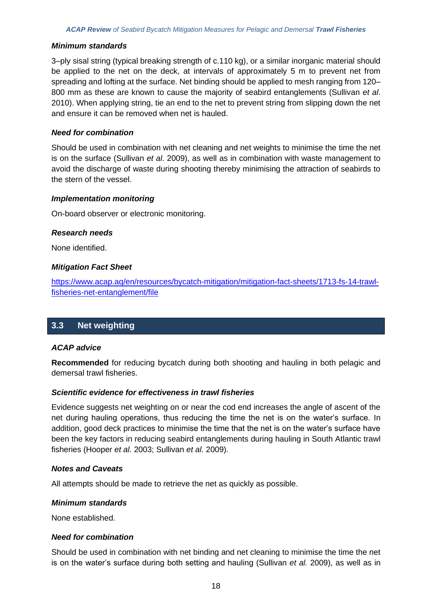3–ply sisal string (typical breaking strength of c.110 kg), or a similar inorganic material should be applied to the net on the deck, at intervals of approximately 5 m to prevent net from spreading and lofting at the surface. Net binding should be applied to mesh ranging from 120– 800 mm as these are known to cause the majority of seabird entanglements (Sullivan *et al*. 2010). When applying string, tie an end to the net to prevent string from slipping down the net and ensure it can be removed when net is hauled.

#### *Need for combination*

Should be used in combination with net cleaning and net weights to minimise the time the net is on the surface (Sullivan *et al*. 2009), as well as in combination with waste management to avoid the discharge of waste during shooting thereby minimising the attraction of seabirds to the stern of the vessel.

#### *Implementation monitoring*

On-board observer or electronic monitoring.

#### *Research needs*

None identified.

#### *Mitigation Fact Sheet*

[https://www.acap.aq/en/resources/bycatch-mitigation/mitigation-fact-sheets/1713-fs-14-trawl](https://www.acap.aq/en/resources/bycatch-mitigation/mitigation-fact-sheets/1713-fs-14-trawl-fisheries-net-entanglement/file)[fisheries-net-entanglement/file](https://www.acap.aq/en/resources/bycatch-mitigation/mitigation-fact-sheets/1713-fs-14-trawl-fisheries-net-entanglement/file)

# **3.3 Net weighting**

## *ACAP advice*

**Recommended** for reducing bycatch during both shooting and hauling in both pelagic and demersal trawl fisheries.

#### *Scientific evidence for effectiveness in trawl fisheries*

Evidence suggests net weighting on or near the cod end increases the angle of ascent of the net during hauling operations, thus reducing the time the net is on the water's surface. In addition, good deck practices to minimise the time that the net is on the water's surface have been the key factors in reducing seabird entanglements during hauling in South Atlantic trawl fisheries (Hooper *et al.* 2003; Sullivan *et al.* 2009).

#### *Notes and Caveats*

All attempts should be made to retrieve the net as quickly as possible.

#### *Minimum standards*

None established.

#### *Need for combination*

Should be used in combination with net binding and net cleaning to minimise the time the net is on the water's surface during both setting and hauling (Sullivan *et al.* 2009), as well as in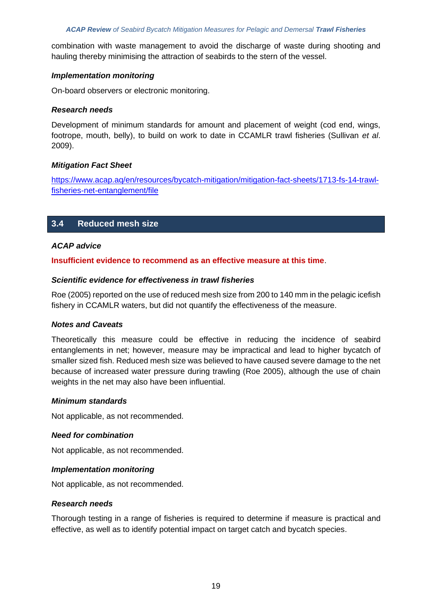combination with waste management to avoid the discharge of waste during shooting and hauling thereby minimising the attraction of seabirds to the stern of the vessel.

#### *Implementation monitoring*

On-board observers or electronic monitoring.

#### *Research needs*

Development of minimum standards for amount and placement of weight (cod end, wings, footrope, mouth, belly), to build on work to date in CCAMLR trawl fisheries (Sullivan *et al*. 2009).

#### *Mitigation Fact Sheet*

[https://www.acap.aq/en/resources/bycatch-mitigation/mitigation-fact-sheets/1713-fs-14-trawl](https://www.acap.aq/en/resources/bycatch-mitigation/mitigation-fact-sheets/1713-fs-14-trawl-fisheries-net-entanglement/file)[fisheries-net-entanglement/file](https://www.acap.aq/en/resources/bycatch-mitigation/mitigation-fact-sheets/1713-fs-14-trawl-fisheries-net-entanglement/file)

# **3.4 Reduced mesh size**

## *ACAP advice*

## **Insufficient evidence to recommend as an effective measure at this time**.

#### *Scientific evidence for effectiveness in trawl fisheries*

Roe (2005) reported on the use of reduced mesh size from 200 to 140 mm in the pelagic icefish fishery in CCAMLR waters, but did not quantify the effectiveness of the measure.

#### *Notes and Caveats*

Theoretically this measure could be effective in reducing the incidence of seabird entanglements in net; however, measure may be impractical and lead to higher bycatch of smaller sized fish. Reduced mesh size was believed to have caused severe damage to the net because of increased water pressure during trawling (Roe 2005), although the use of chain weights in the net may also have been influential.

#### *Minimum standards*

Not applicable, as not recommended.

#### *Need for combination*

Not applicable, as not recommended.

#### *Implementation monitoring*

Not applicable, as not recommended.

#### *Research needs*

Thorough testing in a range of fisheries is required to determine if measure is practical and effective, as well as to identify potential impact on target catch and bycatch species.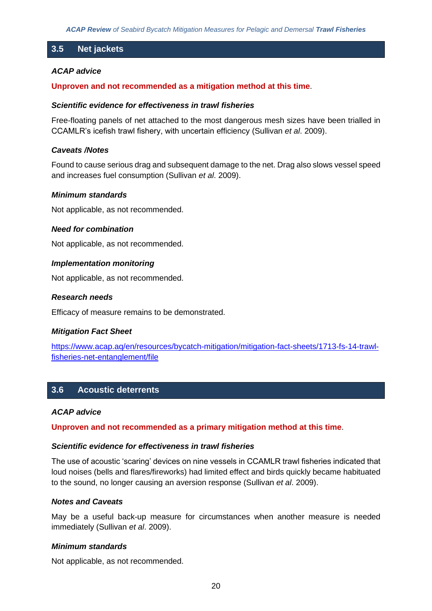# **3.5 Net jackets**

#### *ACAP advice*

#### **Unproven and not recommended as a mitigation method at this time**.

#### *Scientific evidence for effectiveness in trawl fisheries*

Free-floating panels of net attached to the most dangerous mesh sizes have been trialled in CCAMLR's icefish trawl fishery, with uncertain efficiency (Sullivan *et al*. 2009).

#### *Caveats /Notes*

Found to cause serious drag and subsequent damage to the net. Drag also slows vessel speed and increases fuel consumption (Sullivan *et al*. 2009).

#### *Minimum standards*

Not applicable, as not recommended.

#### *Need for combination*

Not applicable, as not recommended.

#### *Implementation monitoring*

Not applicable, as not recommended.

#### *Research needs*

Efficacy of measure remains to be demonstrated.

#### *Mitigation Fact Sheet*

[https://www.acap.aq/en/resources/bycatch-mitigation/mitigation-fact-sheets/1713-fs-14-trawl](https://www.acap.aq/en/resources/bycatch-mitigation/mitigation-fact-sheets/1713-fs-14-trawl-fisheries-net-entanglement/file)[fisheries-net-entanglement/file](https://www.acap.aq/en/resources/bycatch-mitigation/mitigation-fact-sheets/1713-fs-14-trawl-fisheries-net-entanglement/file)

# **3.6 Acoustic deterrents**

#### *ACAP advice*

**Unproven and not recommended as a primary mitigation method at this time**.

#### *Scientific evidence for effectiveness in trawl fisheries*

The use of acoustic 'scaring' devices on nine vessels in CCAMLR trawl fisheries indicated that loud noises (bells and flares/fireworks) had limited effect and birds quickly became habituated to the sound, no longer causing an aversion response (Sullivan *et al*. 2009).

#### *Notes and Caveats*

May be a useful back-up measure for circumstances when another measure is needed immediately (Sullivan *et al*. 2009).

#### *Minimum standards*

Not applicable, as not recommended.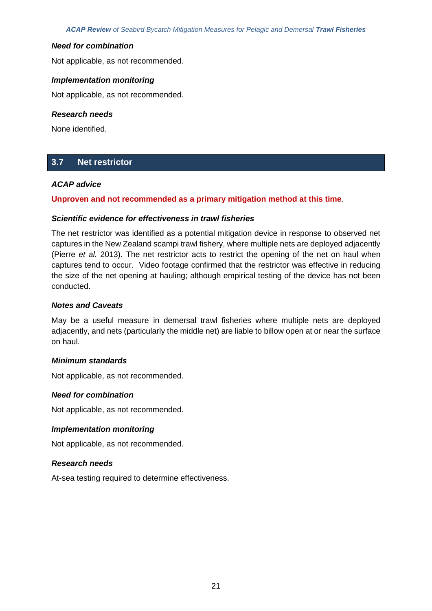#### *Need for combination*

Not applicable, as not recommended.

#### *Implementation monitoring*

Not applicable, as not recommended.

#### *Research needs*

None identified.

# **3.7 Net restrictor**

#### *ACAP advice*

## **Unproven and not recommended as a primary mitigation method at this time**.

#### *Scientific evidence for effectiveness in trawl fisheries*

The net restrictor was identified as a potential mitigation device in response to observed net captures in the New Zealand scampi trawl fishery, where multiple nets are deployed adjacently (Pierre *et al.* 2013). The net restrictor acts to restrict the opening of the net on haul when captures tend to occur. Video footage confirmed that the restrictor was effective in reducing the size of the net opening at hauling; although empirical testing of the device has not been conducted.

#### *Notes and Caveats*

May be a useful measure in demersal trawl fisheries where multiple nets are deployed adjacently, and nets (particularly the middle net) are liable to billow open at or near the surface on haul.

#### *Minimum standards*

Not applicable, as not recommended.

#### *Need for combination*

Not applicable, as not recommended.

#### *Implementation monitoring*

Not applicable, as not recommended.

#### *Research needs*

At-sea testing required to determine effectiveness.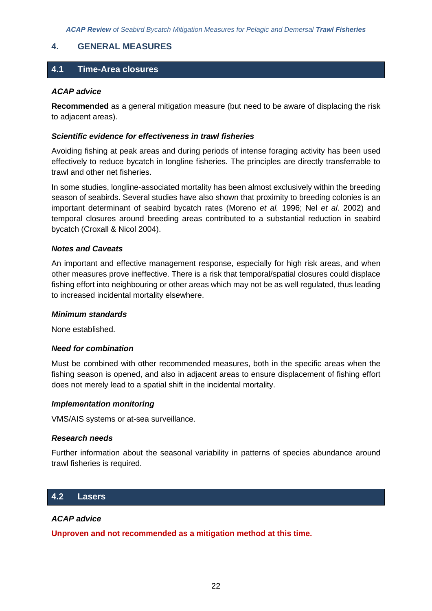## **4. GENERAL MEASURES**

## **4.1 Time-Area closures**

#### *ACAP advice*

**Recommended** as a general mitigation measure (but need to be aware of displacing the risk to adjacent areas).

#### *Scientific evidence for effectiveness in trawl fisheries*

Avoiding fishing at peak areas and during periods of intense foraging activity has been used effectively to reduce bycatch in longline fisheries. The principles are directly transferrable to trawl and other net fisheries.

In some studies, longline-associated mortality has been almost exclusively within the breeding season of seabirds. Several studies have also shown that proximity to breeding colonies is an important determinant of seabird bycatch rates (Moreno *et al.* 1996; Nel *et al*. 2002) and temporal closures around breeding areas contributed to a substantial reduction in seabird bycatch (Croxall & Nicol 2004).

#### *Notes and Caveats*

An important and effective management response, especially for high risk areas, and when other measures prove ineffective. There is a risk that temporal/spatial closures could displace fishing effort into neighbouring or other areas which may not be as well regulated, thus leading to increased incidental mortality elsewhere.

#### *Minimum standards*

None established.

#### *Need for combination*

Must be combined with other recommended measures, both in the specific areas when the fishing season is opened, and also in adjacent areas to ensure displacement of fishing effort does not merely lead to a spatial shift in the incidental mortality.

#### *Implementation monitoring*

VMS/AIS systems or at-sea surveillance.

#### *Research needs*

Further information about the seasonal variability in patterns of species abundance around trawl fisheries is required.

## **4.2 Lasers**

## *ACAP advice*

**Unproven and not recommended as a mitigation method at this time.**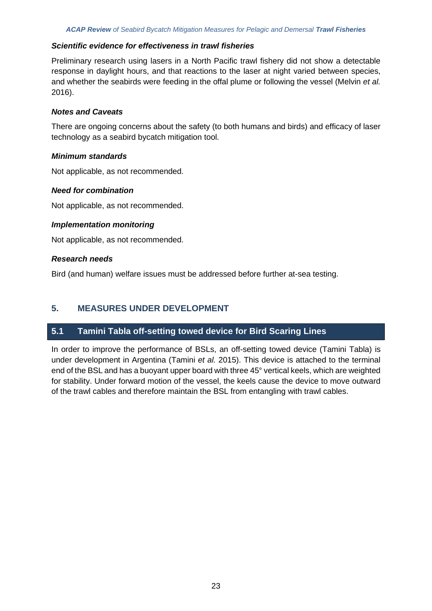#### *Scientific evidence for effectiveness in trawl fisheries*

Preliminary research using lasers in a North Pacific trawl fishery did not show a detectable response in daylight hours, and that reactions to the laser at night varied between species, and whether the seabirds were feeding in the offal plume or following the vessel (Melvin *et al.* 2016).

#### *Notes and Caveats*

There are ongoing concerns about the safety (to both humans and birds) and efficacy of laser technology as a seabird bycatch mitigation tool.

#### *Minimum standards*

Not applicable, as not recommended.

#### *Need for combination*

Not applicable, as not recommended.

## *Implementation monitoring*

Not applicable, as not recommended.

#### *Research needs*

Bird (and human) welfare issues must be addressed before further at-sea testing.

# **5. MEASURES UNDER DEVELOPMENT**

# **5.1 Tamini Tabla off-setting towed device for Bird Scaring Lines**

In order to improve the performance of BSLs, an off-setting towed device (Tamini Tabla) is under development in Argentina (Tamini *et al.* 2015). This device is attached to the terminal end of the BSL and has a buoyant upper board with three 45° vertical keels, which are weighted for stability. Under forward motion of the vessel, the keels cause the device to move outward of the trawl cables and therefore maintain the BSL from entangling with trawl cables.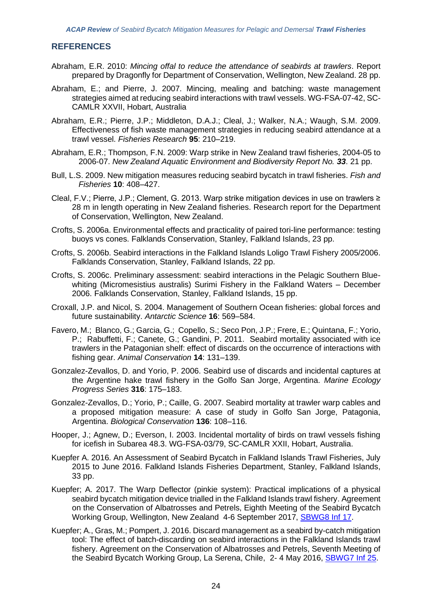## **REFERENCES**

- Abraham, E.R. 2010: *Mincing offal to reduce the attendance of seabirds at trawlers*. Report prepared by Dragonfly for Department of Conservation, Wellington, New Zealand. 28 pp.
- Abraham, E.; and Pierre, J. 2007. Mincing, mealing and batching: waste management strategies aimed at reducing seabird interactions with trawl vessels. WG-FSA-07-42, SC-CAMLR XXVII, Hobart, Australia
- Abraham, E.R.; Pierre, J.P.; Middleton, D.A.J.; Cleal, J.; Walker, N.A.; Waugh, S.M. 2009. Effectiveness of fish waste management strategies in reducing seabird attendance at a trawl vessel. *Fisheries Research* **95**: 210–219.
- Abraham, E.R.; Thompson, F.N. 2009: Warp strike in New Zealand trawl fisheries, 2004-05 to 2006-07. *New Zealand Aquatic Environment and Biodiversity Report No. 33*. 21 pp.
- Bull, L.S. 2009. New mitigation measures reducing seabird bycatch in trawl fisheries. *Fish and Fisheries* **10**: 408–427.
- Cleal, F.V.; Pierre, J.P.; Clement, G. 2013. Warp strike mitigation devices in use on trawlers ≥ 28 m in length operating in New Zealand fisheries. Research report for the Department of Conservation, Wellington, New Zealand.
- Crofts, S. 2006a. Environmental effects and practicality of paired tori-line performance: testing buoys vs cones. Falklands Conservation, Stanley, Falkland Islands, 23 pp.
- Crofts, S. 2006b. Seabird interactions in the Falkland Islands Loligo Trawl Fishery 2005/2006. Falklands Conservation, Stanley, Falkland Islands, 22 pp.
- Crofts, S. 2006c. Preliminary assessment: seabird interactions in the Pelagic Southern Bluewhiting (Micromesistius australis) Surimi Fishery in the Falkland Waters – December 2006. Falklands Conservation, Stanley, Falkland Islands, 15 pp.
- Croxall, J.P. and Nicol, S. 2004. Management of Southern Ocean fisheries: global forces and future sustainability. *Antarctic Science* **16**: 569–584.
- Favero, M.; Blanco, G.; Garcia, G.; Copello, S.; Seco Pon, J.P.; Frere, E.; Quintana, F.; Yorio, P.; Rabuffetti, F.; Canete, G.; Gandini, P. 2011. Seabird mortality associated with ice trawlers in the Patagonian shelf: effect of discards on the occurrence of interactions with fishing gear. *Animal Conservation* **14**: 131–139.
- Gonzalez-Zevallos, D. and Yorio, P. 2006. Seabird use of discards and incidental captures at the Argentine hake trawl fishery in the Golfo San Jorge, Argentina. *Marine Ecology Progress Series* **316**: 175–183.
- Gonzalez-Zevallos, D.; Yorio, P.; Caille, G. 2007. Seabird mortality at trawler warp cables and a proposed mitigation measure: A case of study in Golfo San Jorge, Patagonia, Argentina. *Biological Conservation* **136**: 108–116.
- Hooper, J.; Agnew, D.; Everson, I. 2003. Incidental mortality of birds on trawl vessels fishing for icefish in Subarea 48.3. WG-FSA-03/79, SC-CAMLR XXII, Hobart, Australia.
- Kuepfer A. 2016. An Assessment of Seabird Bycatch in Falkland Islands Trawl Fisheries, July 2015 to June 2016. Falkland Islands Fisheries Department, Stanley, Falkland Islands, 33 pp.
- Kuepfer; A. 2017. The Warp Deflector (pinkie system): Practical implications of a physical seabird bycatch mitigation device trialled in the Falkland Islands trawl fishery. Agreement on the Conservation of Albatrosses and Petrels, Eighth Meeting of the Seabird Bycatch Working Group, Wellington, New Zealand 4-6 September 2017, [SBWG8 Inf 17.](https://acap.aq/en/working-groups/seabird-bycatch-working-group/seabird-bycatch-wg-meeting-8/sbwg8-information-papers/2922-sbwg8-inf-17-the-warp-deflector-pinkie-system-practical-implications-of-a-physical-seabird-bycatch-mitigation-device/file)
- Kuepfer; A., Gras, M.; Pompert, J. 2016. Discard management as a seabird by-catch mitigation tool: The effect of batch-discarding on seabird interactions in the Falkland Islands trawl fishery. Agreement on the Conservation of Albatrosses and Petrels, Seventh Meeting of the Seabird Bycatch Working Group, La Serena, Chile, 2- 4 May 2016, [SBWG7 Inf 25.](https://acap.aq/en/working-groups/seabird-bycatch-working-group/seabird-bycatch-wg-meeting-7/sbwg7-information-papers/2746-sbwg7-inf-25-discard-management-as-a-seabird-by-catch-mitigation-tool-the-effect-of-batch-discarding-on-seabird-interactions-in-the-falkland-islands-trawl-fishery/file)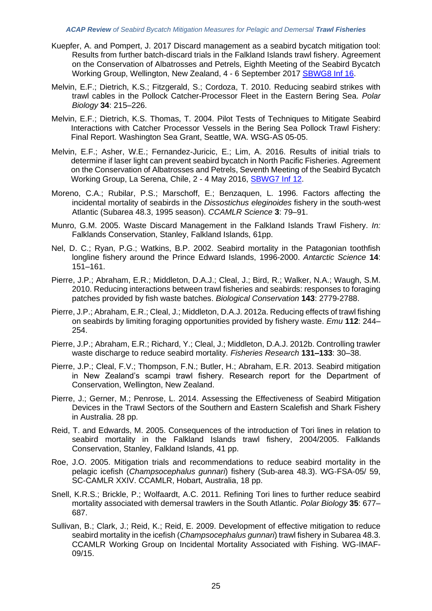- Kuepfer, A. and Pompert, J. 2017 Discard management as a seabird bycatch mitigation tool: Results from further batch-discard trials in the Falkland Islands trawl fishery. Agreement on the Conservation of Albatrosses and Petrels, Eighth Meeting of the Seabird Bycatch Working Group, Wellington, New Zealand, 4 - 6 September 2017 [SBWG8 Inf 16.](https://acap.aq/en/working-groups/seabird-bycatch-working-group/seabird-bycatch-wg-meeting-8/sbwg8-information-papers/2912-sbwg8-inf-15-genetic-variation-of-bill-length-in-the-wandering-albatross-species-complex-new-identification-method-in-the-japanese-observer-program-summary-only/file)
- Melvin, E.F.; Dietrich, K.S.; Fitzgerald, S.; Cordoza, T. 2010. Reducing seabird strikes with trawl cables in the Pollock Catcher-Processor Fleet in the Eastern Bering Sea. *Polar Biology* **34**: 215–226.
- Melvin, E.F.; Dietrich, K.S. Thomas, T. 2004. Pilot Tests of Techniques to Mitigate Seabird Interactions with Catcher Processor Vessels in the Bering Sea Pollock Trawl Fishery: Final Report. Washington Sea Grant, Seattle, WA. WSG-AS 05-05.
- Melvin, E.F.; Asher, W.E.; Fernandez-Juricic, E.; Lim, A. 2016. Results of initial trials to determine if laser light can prevent seabird bycatch in North Pacific Fisheries. Agreement on the Conservation of Albatrosses and Petrels, Seventh Meeting of the Seabird Bycatch Working Group, La Serena, Chile, 2 - 4 May 2016, [SBWG7 Inf 12.](https://www.acap.aq/en/working-groups/seabird-bycatch-working-group/seabird-bycatch-wg-meeting-7/sbwg7-information-papers/2725-sbwg7-inf-12-results-of-initial-trials-to-determine-if-laser-light-can-prevent-seabird-bycatch-in-north-pacific-fisheries-summarry-only/file)
- Moreno, C.A.; Rubilar, P.S.; Marschoff, E.; Benzaquen, L. 1996. Factors affecting the incidental mortality of seabirds in the *Dissostichus eleginoides* fishery in the south-west Atlantic (Subarea 48.3, 1995 season). *CCAMLR Science* **3**: 79–91.
- Munro, G.M. 2005. Waste Discard Management in the Falkland Islands Trawl Fishery. *In:*  Falklands Conservation, Stanley, Falkland Islands, 61pp.
- Nel, D. C.; Ryan, P.G.; Watkins, B.P. 2002. Seabird mortality in the Patagonian toothfish longline fishery around the Prince Edward Islands, 1996-2000. *Antarctic Science* **14**: 151–161.
- Pierre, J.P.; Abraham, E.R.; Middleton, D.A.J.; Cleal, J.; Bird, R.; Walker, N.A.; Waugh, S.M. 2010. Reducing interactions between trawl fisheries and seabirds: responses to foraging patches provided by fish waste batches. *Biological Conservation* **143**: 2779-2788.
- Pierre, J.P.; Abraham, E.R.; Cleal, J.; Middleton, D.A.J. 2012a. Reducing effects of trawl fishing on seabirds by limiting foraging opportunities provided by fishery waste. *Emu* **112**: 244– 254.
- Pierre, J.P.; Abraham, E.R.; Richard, Y.; Cleal, J.; Middleton, D.A.J. 2012b. Controlling trawler waste discharge to reduce seabird mortality. *Fisheries Research* **131–133**: 30–38.
- Pierre, J.P.; Cleal, F.V.; Thompson, F.N.; Butler, H.; Abraham, E.R. 2013. Seabird mitigation in New Zealand's scampi trawl fishery. Research report for the Department of Conservation, Wellington, New Zealand.
- Pierre, J.; Gerner, M.; Penrose, L. 2014. Assessing the Effectiveness of Seabird Mitigation Devices in the Trawl Sectors of the Southern and Eastern Scalefish and Shark Fishery in Australia. 28 pp.
- Reid, T. and Edwards, M. 2005. Consequences of the introduction of Tori lines in relation to seabird mortality in the Falkland Islands trawl fishery, 2004/2005. Falklands Conservation, Stanley, Falkland Islands, 41 pp.
- Roe, J.O. 2005. Mitigation trials and recommendations to reduce seabird mortality in the pelagic icefish (*Champsocephalus gunnari*) fishery (Sub-area 48.3). WG-FSA-05/ 59, SC-CAMLR XXIV. CCAMLR, Hobart, Australia, 18 pp.
- Snell, K.R.S.; Brickle, P.; Wolfaardt, A.C. 2011. Refining Tori lines to further reduce seabird mortality associated with demersal trawlers in the South Atlantic. *Polar Biology* **35**: 677– 687.
- Sullivan, B.; Clark, J.; Reid, K.; Reid, E. 2009. Development of effective mitigation to reduce seabird mortality in the icefish (*Champsocephalus gunnari*) trawl fishery in Subarea 48.3. CCAMLR Working Group on Incidental Mortality Associated with Fishing. WG-IMAF-09/15.